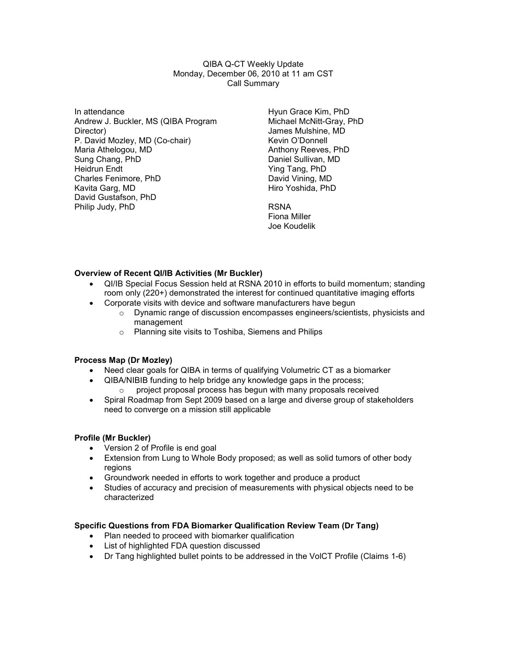QIBA Q-CT Weekly Update Monday, December 06, 2010 at 11 am CST Call Summary

In attendance Andrew J. Buckler, MS (QIBA Program Director) P. David Mozley, MD (Co-chair) Maria Athelogou, MD Sung Chang, PhD Heidrun Endt Charles Fenimore, PhD Kavita Garg, MD David Gustafson, PhD Philip Judy, PhD

Hyun Grace Kim, PhD Michael McNitt-Gray, PhD James Mulshine, MD Kevin O'Donnell Anthony Reeves, PhD Daniel Sullivan, MD Ying Tang, PhD David Vining, MD Hiro Yoshida, PhD

RSNA Fiona Miller Joe Koudelik

# Overview of Recent QI/IB Activities (Mr Buckler)

- QI/IB Special Focus Session held at RSNA 2010 in efforts to build momentum; standing room only (220+) demonstrated the interest for continued quantitative imaging efforts
- Corporate visits with device and software manufacturers have begun
	- $\circ$  Dynamic range of discussion encompasses engineers/scientists, physicists and management
	- o Planning site visits to Toshiba, Siemens and Philips

#### Process Map (Dr Mozley)

- Need clear goals for QIBA in terms of qualifying Volumetric CT as a biomarker
- QIBA/NIBIB funding to help bridge any knowledge gaps in the process;  $\circ$  project proposal process has begun with many proposals received
- Spiral Roadmap from Sept 2009 based on a large and diverse group of stakeholders need to converge on a mission still applicable

#### Profile (Mr Buckler)

- Version 2 of Profile is end goal
- Extension from Lung to Whole Body proposed; as well as solid tumors of other body regions
- Groundwork needed in efforts to work together and produce a product
- Studies of accuracy and precision of measurements with physical objects need to be characterized

# Specific Questions from FDA Biomarker Qualification Review Team (Dr Tang)

- Plan needed to proceed with biomarker qualification
- List of highlighted FDA question discussed
- Dr Tang highlighted bullet points to be addressed in the VolCT Profile (Claims 1-6)